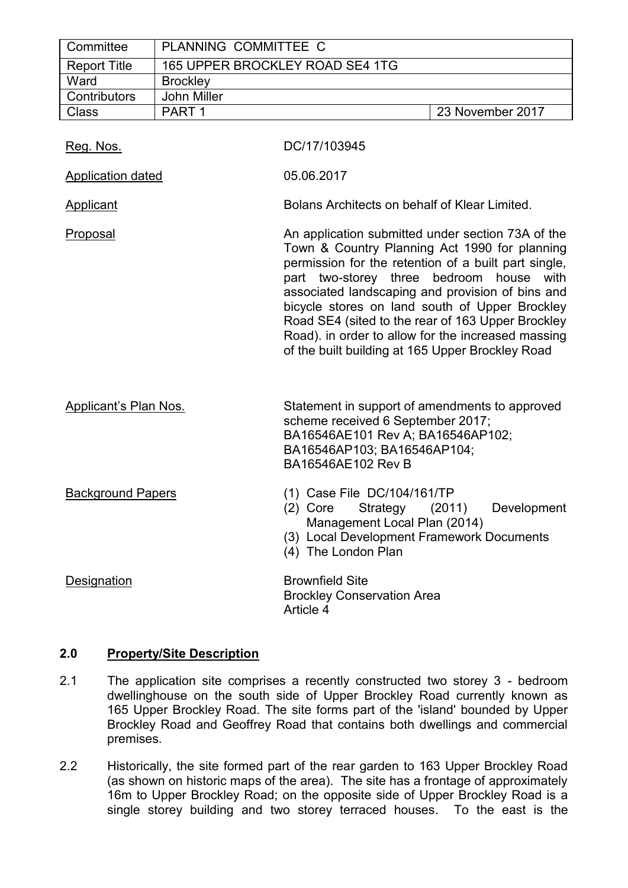| Committee           | PLANNING COMMITTEE C            |                  |
|---------------------|---------------------------------|------------------|
| <b>Report Title</b> | 165 UPPER BROCKLEY ROAD SE4 1TG |                  |
| Ward                | <b>Brockley</b>                 |                  |
| Contributors        | John Miller                     |                  |
| <b>Class</b>        | PART <sub>1</sub>               | 23 November 2017 |

| Reg. Nos.                | DC/17/103945                                                                                                                                                                                                                                                                                                                                                                                                                                                                   |
|--------------------------|--------------------------------------------------------------------------------------------------------------------------------------------------------------------------------------------------------------------------------------------------------------------------------------------------------------------------------------------------------------------------------------------------------------------------------------------------------------------------------|
| <b>Application dated</b> | 05.06.2017                                                                                                                                                                                                                                                                                                                                                                                                                                                                     |
| <b>Applicant</b>         | Bolans Architects on behalf of Klear Limited.                                                                                                                                                                                                                                                                                                                                                                                                                                  |
| Proposal                 | An application submitted under section 73A of the<br>Town & Country Planning Act 1990 for planning<br>permission for the retention of a built part single,<br>part two-storey three bedroom house<br>with<br>associated landscaping and provision of bins and<br>bicycle stores on land south of Upper Brockley<br>Road SE4 (sited to the rear of 163 Upper Brockley<br>Road). in order to allow for the increased massing<br>of the built building at 165 Upper Brockley Road |
| Applicant's Plan Nos.    | Statement in support of amendments to approved<br>scheme received 6 September 2017;<br>BA16546AE101 Rev A; BA16546AP102;<br>BA16546AP103; BA16546AP104;<br>BA16546AE102 Rev B                                                                                                                                                                                                                                                                                                  |
| <b>Background Papers</b> | (1) Case File DC/104/161/TP<br>Strategy (2011)<br>Development<br>$(2)$ Core<br>Management Local Plan (2014)<br>(3) Local Development Framework Documents<br>(4) The London Plan                                                                                                                                                                                                                                                                                                |
| Designation              | <b>Brownfield Site</b><br><b>Brockley Conservation Area</b><br>Article 4                                                                                                                                                                                                                                                                                                                                                                                                       |

## **2.0 Property/Site Description**

- 2.1 The application site comprises a recently constructed two storey 3 bedroom dwellinghouse on the south side of Upper Brockley Road currently known as 165 Upper Brockley Road. The site forms part of the 'island' bounded by Upper Brockley Road and Geoffrey Road that contains both dwellings and commercial premises.
- 2.2 Historically, the site formed part of the rear garden to 163 Upper Brockley Road (as shown on historic maps of the area). The site has a frontage of approximately 16m to Upper Brockley Road; on the opposite side of Upper Brockley Road is a single storey building and two storey terraced houses. To the east is the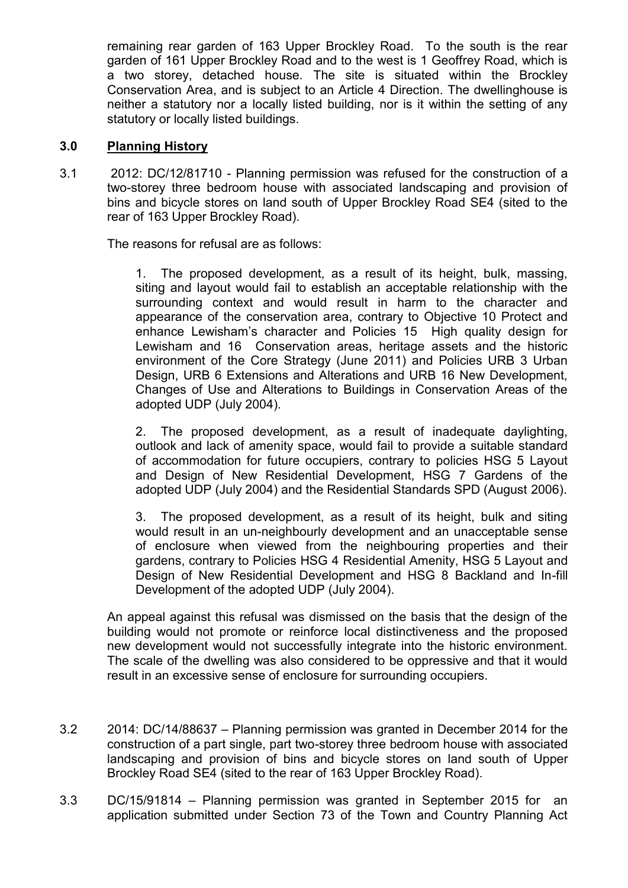remaining rear garden of 163 Upper Brockley Road. To the south is the rear garden of 161 Upper Brockley Road and to the west is 1 Geoffrey Road, which is a two storey, detached house. The site is situated within the Brockley Conservation Area, and is subject to an Article 4 Direction. The dwellinghouse is neither a statutory nor a locally listed building, nor is it within the setting of any statutory or locally listed buildings.

# **3.0 Planning History**

3.1 2012: DC/12/81710 - Planning permission was refused for the construction of a two-storey three bedroom house with associated landscaping and provision of bins and bicycle stores on land south of Upper Brockley Road SE4 (sited to the rear of 163 Upper Brockley Road).

The reasons for refusal are as follows:

1. The proposed development, as a result of its height, bulk, massing, siting and layout would fail to establish an acceptable relationship with the surrounding context and would result in harm to the character and appearance of the conservation area, contrary to Objective 10 Protect and enhance Lewisham's character and Policies 15 High quality design for Lewisham and 16 Conservation areas, heritage assets and the historic environment of the Core Strategy (June 2011) and Policies URB 3 Urban Design, URB 6 Extensions and Alterations and URB 16 New Development, Changes of Use and Alterations to Buildings in Conservation Areas of the adopted UDP (July 2004).

2. The proposed development, as a result of inadequate daylighting, outlook and lack of amenity space, would fail to provide a suitable standard of accommodation for future occupiers, contrary to policies HSG 5 Layout and Design of New Residential Development, HSG 7 Gardens of the adopted UDP (July 2004) and the Residential Standards SPD (August 2006).

3. The proposed development, as a result of its height, bulk and siting would result in an un-neighbourly development and an unacceptable sense of enclosure when viewed from the neighbouring properties and their gardens, contrary to Policies HSG 4 Residential Amenity, HSG 5 Layout and Design of New Residential Development and HSG 8 Backland and In-fill Development of the adopted UDP (July 2004).

An appeal against this refusal was dismissed on the basis that the design of the building would not promote or reinforce local distinctiveness and the proposed new development would not successfully integrate into the historic environment. The scale of the dwelling was also considered to be oppressive and that it would result in an excessive sense of enclosure for surrounding occupiers.

- 3.2 2014: DC/14/88637 Planning permission was granted in December 2014 for the construction of a part single, part two-storey three bedroom house with associated landscaping and provision of bins and bicycle stores on land south of Upper Brockley Road SE4 (sited to the rear of 163 Upper Brockley Road).
- 3.3 DC/15/91814 Planning permission was granted in September 2015 for an application submitted under Section 73 of the Town and Country Planning Act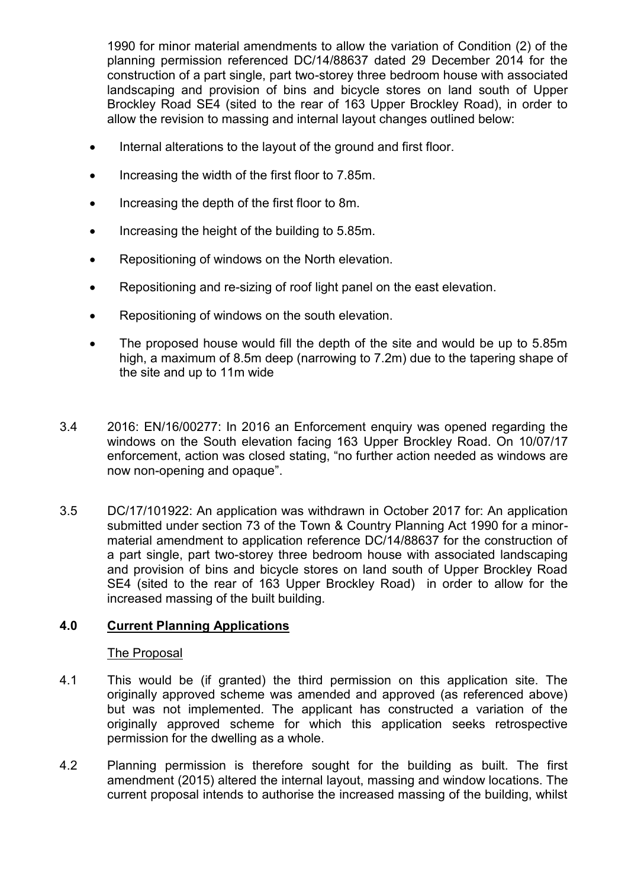1990 for minor material amendments to allow the variation of Condition (2) of the planning permission referenced DC/14/88637 dated 29 December 2014 for the construction of a part single, part two-storey three bedroom house with associated landscaping and provision of bins and bicycle stores on land south of Upper Brockley Road SE4 (sited to the rear of 163 Upper Brockley Road), in order to allow the revision to massing and internal layout changes outlined below:

- Internal alterations to the layout of the ground and first floor.
- Increasing the width of the first floor to 7.85m.
- Increasing the depth of the first floor to 8m.
- Increasing the height of the building to 5.85m.
- Repositioning of windows on the North elevation.
- Repositioning and re-sizing of roof light panel on the east elevation.
- Repositioning of windows on the south elevation.
- The proposed house would fill the depth of the site and would be up to 5.85m high, a maximum of 8.5m deep (narrowing to 7.2m) due to the tapering shape of the site and up to 11m wide
- 3.4 2016: EN/16/00277: In 2016 an Enforcement enquiry was opened regarding the windows on the South elevation facing 163 Upper Brockley Road. On 10/07/17 enforcement, action was closed stating, "no further action needed as windows are now non-opening and opaque".
- 3.5 DC/17/101922: An application was withdrawn in October 2017 for: An application submitted under section 73 of the Town & Country Planning Act 1990 for a minormaterial amendment to application reference DC/14/88637 for the construction of a part single, part two-storey three bedroom house with associated landscaping and provision of bins and bicycle stores on land south of Upper Brockley Road SE4 (sited to the rear of 163 Upper Brockley Road) in order to allow for the increased massing of the built building.

## **4.0 Current Planning Applications**

#### The Proposal

- 4.1 This would be (if granted) the third permission on this application site. The originally approved scheme was amended and approved (as referenced above) but was not implemented. The applicant has constructed a variation of the originally approved scheme for which this application seeks retrospective permission for the dwelling as a whole.
- 4.2 Planning permission is therefore sought for the building as built. The first amendment (2015) altered the internal layout, massing and window locations. The current proposal intends to authorise the increased massing of the building, whilst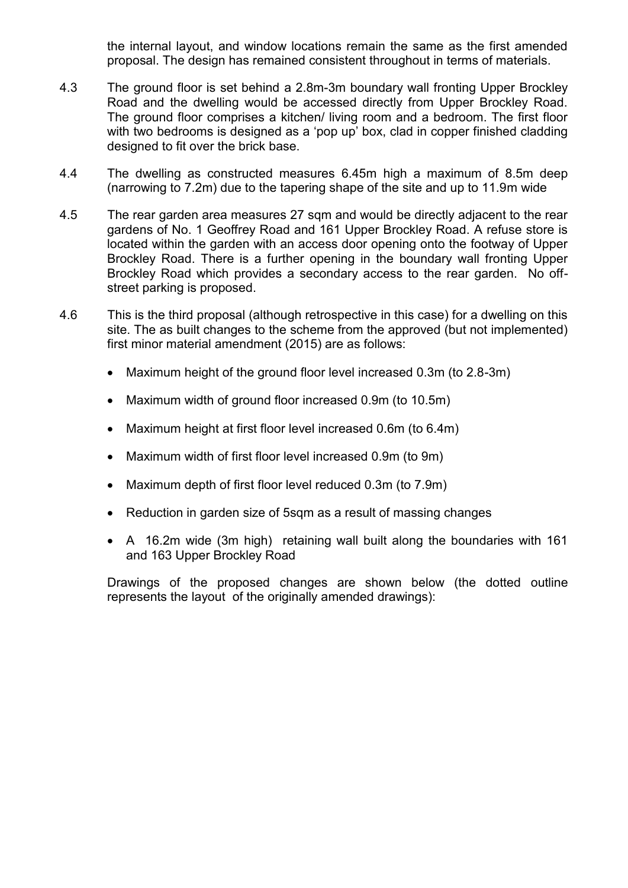the internal layout, and window locations remain the same as the first amended proposal. The design has remained consistent throughout in terms of materials.

- 4.3 The ground floor is set behind a 2.8m-3m boundary wall fronting Upper Brockley Road and the dwelling would be accessed directly from Upper Brockley Road. The ground floor comprises a kitchen/ living room and a bedroom. The first floor with two bedrooms is designed as a 'pop up' box, clad in copper finished cladding designed to fit over the brick base.
- 4.4 The dwelling as constructed measures 6.45m high a maximum of 8.5m deep (narrowing to 7.2m) due to the tapering shape of the site and up to 11.9m wide
- 4.5 The rear garden area measures 27 sqm and would be directly adjacent to the rear gardens of No. 1 Geoffrey Road and 161 Upper Brockley Road. A refuse store is located within the garden with an access door opening onto the footway of Upper Brockley Road. There is a further opening in the boundary wall fronting Upper Brockley Road which provides a secondary access to the rear garden. No offstreet parking is proposed.
- 4.6 This is the third proposal (although retrospective in this case) for a dwelling on this site. The as built changes to the scheme from the approved (but not implemented) first minor material amendment (2015) are as follows:
	- Maximum height of the ground floor level increased 0.3m (to 2.8-3m)
	- Maximum width of ground floor increased 0.9m (to 10.5m)
	- Maximum height at first floor level increased 0.6m (to 6.4m)
	- Maximum width of first floor level increased 0.9m (to 9m)
	- Maximum depth of first floor level reduced 0.3m (to 7.9m)
	- Reduction in garden size of 5sqm as a result of massing changes
	- A 16.2m wide (3m high) retaining wall built along the boundaries with 161 and 163 Upper Brockley Road

Drawings of the proposed changes are shown below (the dotted outline represents the layout of the originally amended drawings):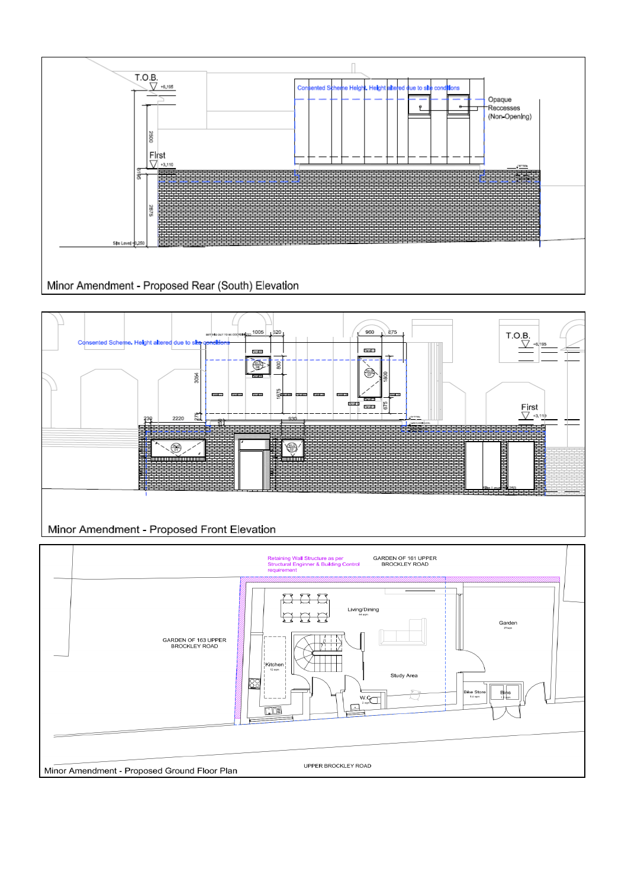



![](_page_4_Figure_2.jpeg)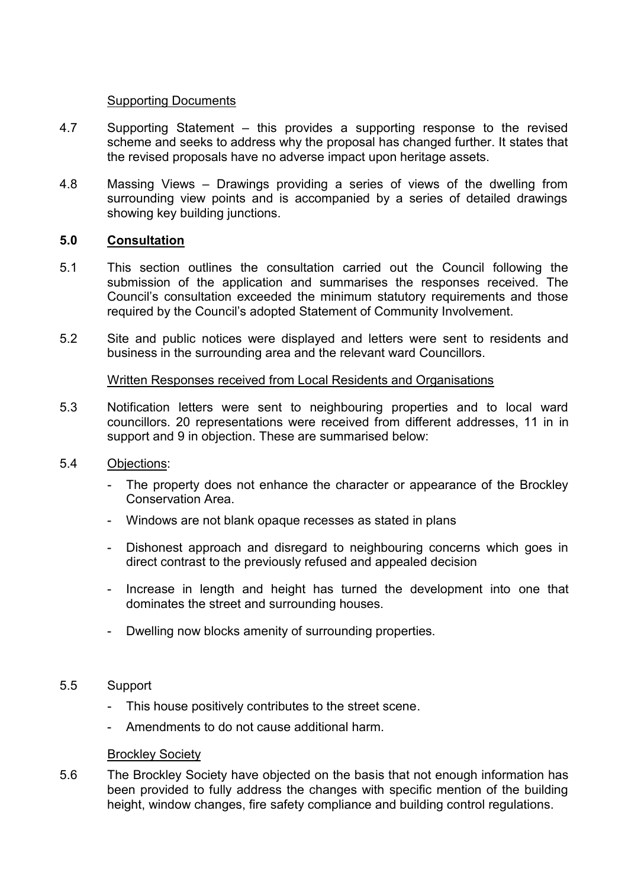## Supporting Documents

- 4.7 Supporting Statement this provides a supporting response to the revised scheme and seeks to address why the proposal has changed further. It states that the revised proposals have no adverse impact upon heritage assets.
- 4.8 Massing Views Drawings providing a series of views of the dwelling from surrounding view points and is accompanied by a series of detailed drawings showing key building junctions.

# **5.0 Consultation**

- 5.1 This section outlines the consultation carried out the Council following the submission of the application and summarises the responses received. The Council's consultation exceeded the minimum statutory requirements and those required by the Council's adopted Statement of Community Involvement.
- 5.2 Site and public notices were displayed and letters were sent to residents and business in the surrounding area and the relevant ward Councillors.

## Written Responses received from Local Residents and Organisations

- 5.3 Notification letters were sent to neighbouring properties and to local ward councillors. 20 representations were received from different addresses, 11 in in support and 9 in objection. These are summarised below:
- 5.4 Objections:
	- The property does not enhance the character or appearance of the Brockley Conservation Area.
	- Windows are not blank opaque recesses as stated in plans
	- Dishonest approach and disregard to neighbouring concerns which goes in direct contrast to the previously refused and appealed decision
	- Increase in length and height has turned the development into one that dominates the street and surrounding houses.
	- Dwelling now blocks amenity of surrounding properties.

## 5.5 Support

- This house positively contributes to the street scene.
- Amendments to do not cause additional harm.

#### **Brockley Society**

5.6 The Brockley Society have objected on the basis that not enough information has been provided to fully address the changes with specific mention of the building height, window changes, fire safety compliance and building control regulations.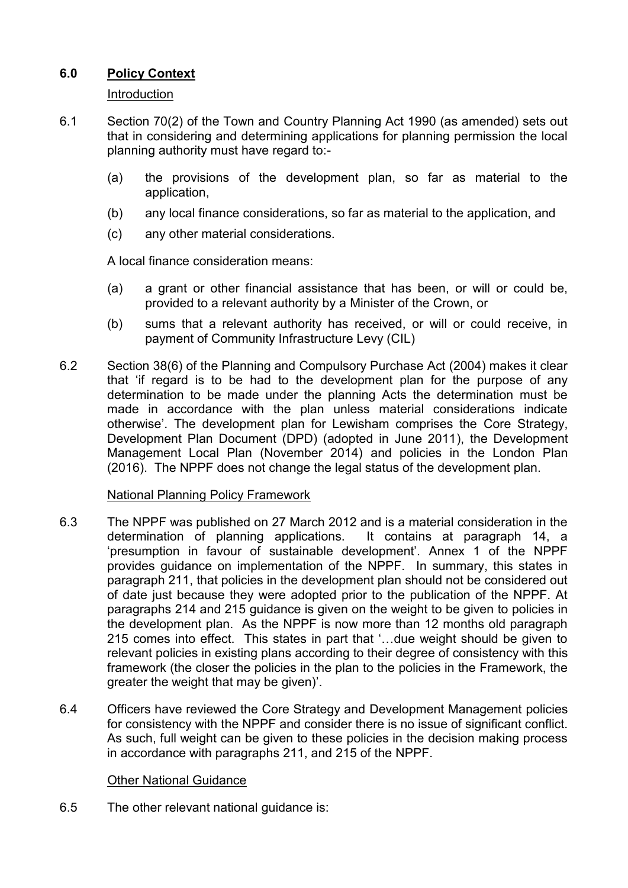# **6.0 Policy Context**

# Introduction

- 6.1 Section 70(2) of the Town and Country Planning Act 1990 (as amended) sets out that in considering and determining applications for planning permission the local planning authority must have regard to:-
	- (a) the provisions of the development plan, so far as material to the application,
	- (b) any local finance considerations, so far as material to the application, and
	- (c) any other material considerations.

A local finance consideration means:

- (a) a grant or other financial assistance that has been, or will or could be, provided to a relevant authority by a Minister of the Crown, or
- (b) sums that a relevant authority has received, or will or could receive, in payment of Community Infrastructure Levy (CIL)
- 6.2 Section 38(6) of the Planning and Compulsory Purchase Act (2004) makes it clear that 'if regard is to be had to the development plan for the purpose of any determination to be made under the planning Acts the determination must be made in accordance with the plan unless material considerations indicate otherwise'. The development plan for Lewisham comprises the Core Strategy, Development Plan Document (DPD) (adopted in June 2011), the Development Management Local Plan (November 2014) and policies in the London Plan (2016). The NPPF does not change the legal status of the development plan.

# National Planning Policy Framework

- 6.3 The NPPF was published on 27 March 2012 and is a material consideration in the determination of planning applications. It contains at paragraph 14, a 'presumption in favour of sustainable development'. Annex 1 of the NPPF provides guidance on implementation of the NPPF. In summary, this states in paragraph 211, that policies in the development plan should not be considered out of date just because they were adopted prior to the publication of the NPPF. At paragraphs 214 and 215 guidance is given on the weight to be given to policies in the development plan. As the NPPF is now more than 12 months old paragraph 215 comes into effect. This states in part that '…due weight should be given to relevant policies in existing plans according to their degree of consistency with this framework (the closer the policies in the plan to the policies in the Framework, the greater the weight that may be given)'.
- 6.4 Officers have reviewed the Core Strategy and Development Management policies for consistency with the NPPF and consider there is no issue of significant conflict. As such, full weight can be given to these policies in the decision making process in accordance with paragraphs 211, and 215 of the NPPF.

## Other National Guidance

6.5 The other relevant national guidance is: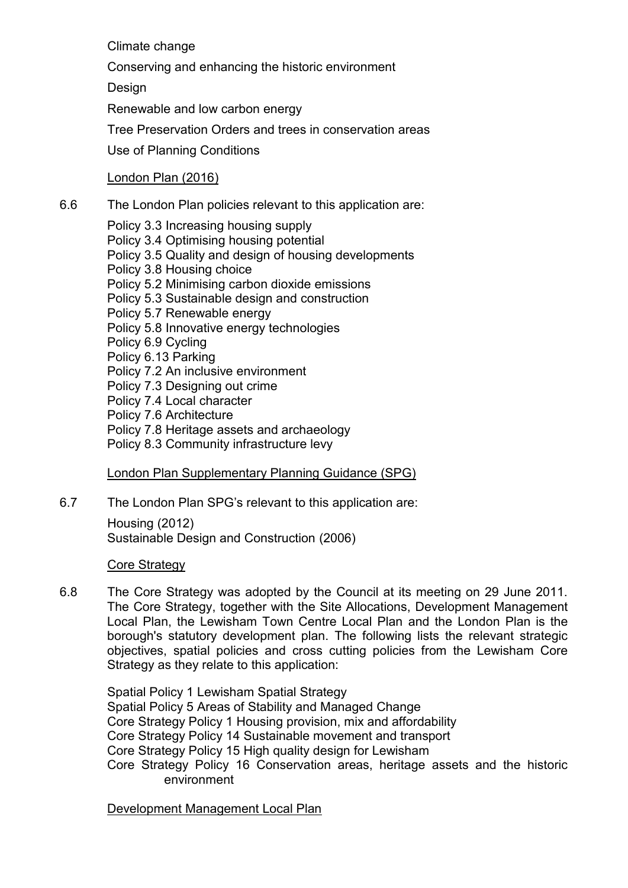Climate change

Conserving and enhancing the historic environment

**Design** 

Renewable and low carbon energy

Tree Preservation Orders and trees in conservation areas

Use of Planning Conditions

# London Plan (2016)

6.6 The London Plan policies relevant to this application are:

Policy 3.3 Increasing housing supply Policy 3.4 Optimising housing potential Policy 3.5 Quality and design of housing developments Policy 3.8 Housing choice Policy 5.2 Minimising carbon dioxide emissions Policy 5.3 Sustainable design and construction Policy 5.7 Renewable energy Policy 5.8 Innovative energy technologies Policy 6.9 Cycling Policy 6.13 Parking Policy 7.2 An inclusive environment Policy 7.3 Designing out crime Policy 7.4 Local character Policy 7.6 Architecture Policy 7.8 Heritage assets and archaeology

Policy 8.3 Community infrastructure levy

London Plan Supplementary Planning Guidance (SPG)

6.7 The London Plan SPG's relevant to this application are:

[Housing](http://www.london.gov.uk/thelondonplan/guides/spg/spg_03.jsp) (2012) [Sustainable Design and Construction](http://www.london.gov.uk/thelondonplan/guides/spg/spg_04.jsp) (2006)

# Core Strategy

6.8 The Core Strategy was adopted by the Council at its meeting on 29 June 2011. The Core Strategy, together with the Site Allocations, Development Management Local Plan, the Lewisham Town Centre Local Plan and the London Plan is the borough's statutory development plan. The following lists the relevant strategic objectives, spatial policies and cross cutting policies from the Lewisham Core Strategy as they relate to this application:

Spatial Policy 1 Lewisham Spatial Strategy Spatial Policy 5 Areas of Stability and Managed Change Core Strategy Policy 1 Housing provision, mix and affordability Core Strategy Policy 14 Sustainable movement and transport Core Strategy Policy 15 High quality design for Lewisham Core Strategy Policy 16 Conservation areas, heritage assets and the historic environment

Development Management Local Plan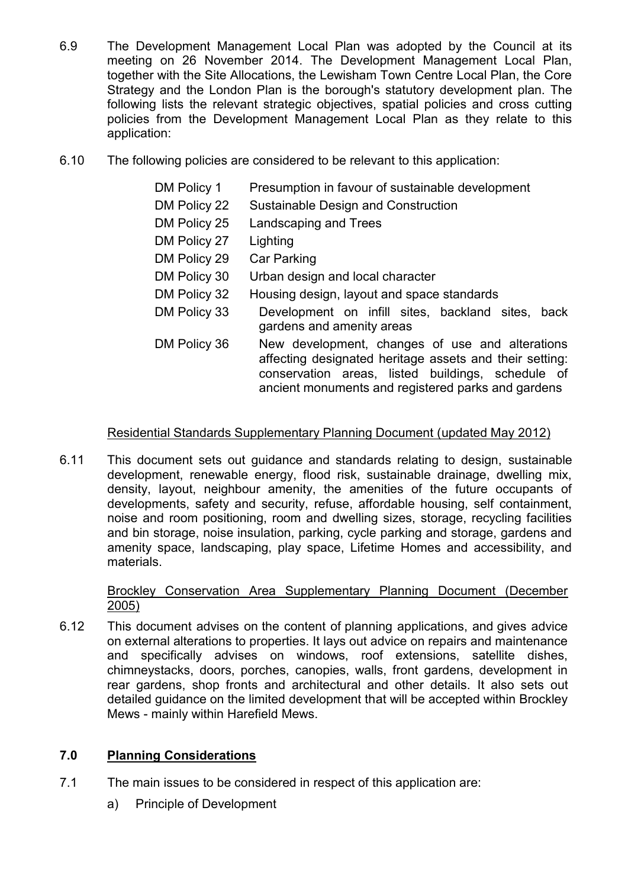- 6.9 The Development Management Local Plan was adopted by the Council at its meeting on 26 November 2014. The Development Management Local Plan, together with the Site Allocations, the Lewisham Town Centre Local Plan, the Core Strategy and the London Plan is the borough's statutory development plan. The following lists the relevant strategic objectives, spatial policies and cross cutting policies from the Development Management Local Plan as they relate to this application:
- 6.10 The following policies are considered to be relevant to this application:
	- DM Policy 1 Presumption in favour of sustainable development
	- DM Policy 22 Sustainable Design and Construction
	- DM Policy 25 Landscaping and Trees
	- DM Policy 27 Lighting
	- DM Policy 29 Car Parking
	- DM Policy 30 Urban design and local character
	- DM Policy 32 Housing design, layout and space standards
	- DM Policy 33 Development on infill sites, backland sites, back gardens and amenity areas
	- DM Policy 36 New development, changes of use and alterations affecting designated heritage assets and their setting: conservation areas, listed buildings, schedule of ancient monuments and registered parks and gardens

# Residential Standards Supplementary Planning Document (updated May 2012)

6.11 This document sets out guidance and standards relating to design, sustainable development, renewable energy, flood risk, sustainable drainage, dwelling mix, density, layout, neighbour amenity, the amenities of the future occupants of developments, safety and security, refuse, affordable housing, self containment, noise and room positioning, room and dwelling sizes, storage, recycling facilities and bin storage, noise insulation, parking, cycle parking and storage, gardens and amenity space, landscaping, play space, Lifetime Homes and accessibility, and materials.

# Brockley Conservation Area Supplementary Planning Document (December 2005)

6.12 This document advises on the content of planning applications, and gives advice on external alterations to properties. It lays out advice on repairs and maintenance and specifically advises on windows, roof extensions, satellite dishes, chimneystacks, doors, porches, canopies, walls, front gardens, development in rear gardens, shop fronts and architectural and other details. It also sets out detailed guidance on the limited development that will be accepted within Brockley Mews - mainly within Harefield Mews.

## **7.0 Planning Considerations**

- 7.1 The main issues to be considered in respect of this application are:
	- a) Principle of Development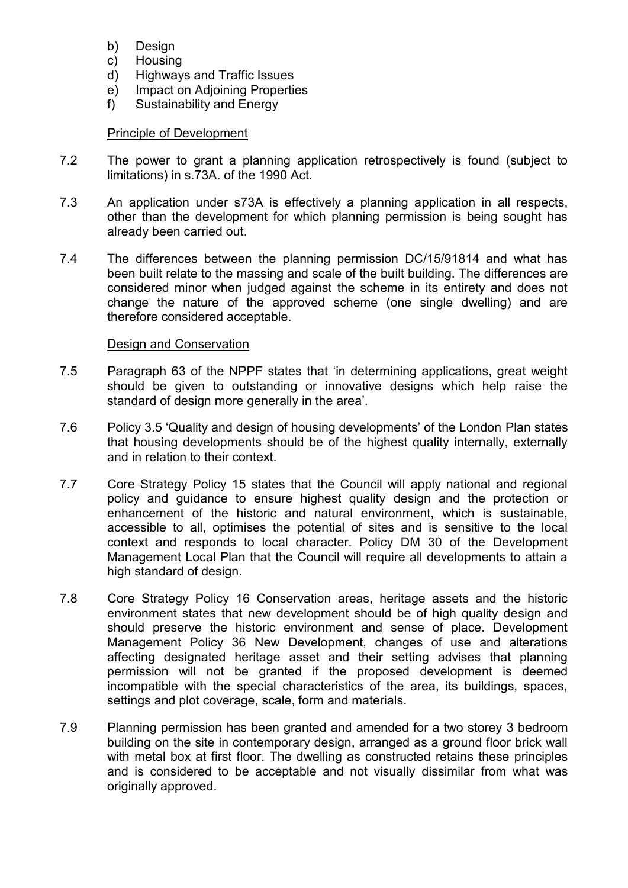- b) Design
- c) Housing
- d) Highways and Traffic Issues
- e) Impact on Adjoining Properties
- f) Sustainability and Energy

## Principle of Development

- 7.2 The power to grant a planning application retrospectively is found (subject to limitations) in s.73A. of the 1990 Act.
- 7.3 An application under s73A is effectively a planning application in all respects, other than the development for which planning permission is being sought has already been carried out.
- 7.4 The differences between the planning permission DC/15/91814 and what has been built relate to the massing and scale of the built building. The differences are considered minor when judged against the scheme in its entirety and does not change the nature of the approved scheme (one single dwelling) and are therefore considered acceptable.

### Design and Conservation

- 7.5 Paragraph 63 of the NPPF states that 'in determining applications, great weight should be given to outstanding or innovative designs which help raise the standard of design more generally in the area'.
- 7.6 Policy 3.5 'Quality and design of housing developments' of the London Plan states that housing developments should be of the highest quality internally, externally and in relation to their context.
- 7.7 Core Strategy Policy 15 states that the Council will apply national and regional policy and guidance to ensure highest quality design and the protection or enhancement of the historic and natural environment, which is sustainable, accessible to all, optimises the potential of sites and is sensitive to the local context and responds to local character. Policy DM 30 of the Development Management Local Plan that the Council will require all developments to attain a high standard of design.
- 7.8 Core Strategy Policy 16 Conservation areas, heritage assets and the historic environment states that new development should be of high quality design and should preserve the historic environment and sense of place. Development Management Policy 36 New Development, changes of use and alterations affecting designated heritage asset and their setting advises that planning permission will not be granted if the proposed development is deemed incompatible with the special characteristics of the area, its buildings, spaces, settings and plot coverage, scale, form and materials.
- 7.9 Planning permission has been granted and amended for a two storey 3 bedroom building on the site in contemporary design, arranged as a ground floor brick wall with metal box at first floor. The dwelling as constructed retains these principles and is considered to be acceptable and not visually dissimilar from what was originally approved.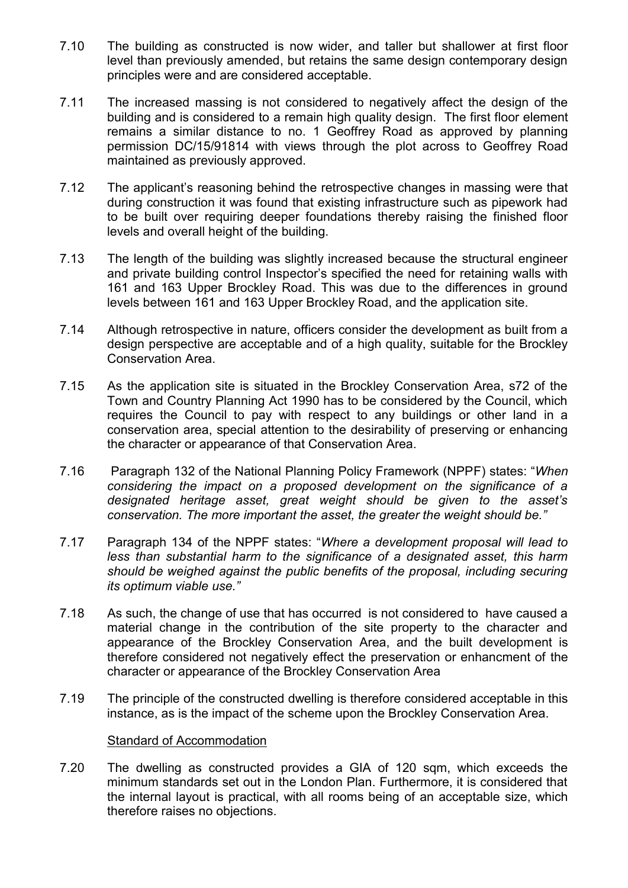- 7.10 The building as constructed is now wider, and taller but shallower at first floor level than previously amended, but retains the same design contemporary design principles were and are considered acceptable.
- 7.11 The increased massing is not considered to negatively affect the design of the building and is considered to a remain high quality design. The first floor element remains a similar distance to no. 1 Geoffrey Road as approved by planning permission DC/15/91814 with views through the plot across to Geoffrey Road maintained as previously approved.
- 7.12 The applicant's reasoning behind the retrospective changes in massing were that during construction it was found that existing infrastructure such as pipework had to be built over requiring deeper foundations thereby raising the finished floor levels and overall height of the building.
- 7.13 The length of the building was slightly increased because the structural engineer and private building control Inspector's specified the need for retaining walls with 161 and 163 Upper Brockley Road. This was due to the differences in ground levels between 161 and 163 Upper Brockley Road, and the application site.
- 7.14 Although retrospective in nature, officers consider the development as built from a design perspective are acceptable and of a high quality, suitable for the Brockley Conservation Area.
- 7.15 As the application site is situated in the Brockley Conservation Area, s72 of the Town and Country Planning Act 1990 has to be considered by the Council, which requires the Council to pay with respect to any buildings or other land in a conservation area, special attention to the desirability of preserving or enhancing the character or appearance of that Conservation Area.
- 7.16 Paragraph 132 of the National Planning Policy Framework (NPPF) states: "*When considering the impact on a proposed development on the significance of a designated heritage asset, great weight should be given to the asset's conservation. The more important the asset, the greater the weight should be."*
- 7.17 Paragraph 134 of the NPPF states: "*Where a development proposal will lead to less than substantial harm to the significance of a designated asset, this harm should be weighed against the public benefits of the proposal, including securing its optimum viable use."*
- 7.18 As such, the change of use that has occurred is not considered to have caused a material change in the contribution of the site property to the character and appearance of the Brockley Conservation Area, and the built development is therefore considered not negatively effect the preservation or enhancment of the character or appearance of the Brockley Conservation Area
- 7.19 The principle of the constructed dwelling is therefore considered acceptable in this instance, as is the impact of the scheme upon the Brockley Conservation Area.

#### Standard of Accommodation

7.20 The dwelling as constructed provides a GIA of 120 sqm, which exceeds the minimum standards set out in the London Plan. Furthermore, it is considered that the internal layout is practical, with all rooms being of an acceptable size, which therefore raises no objections.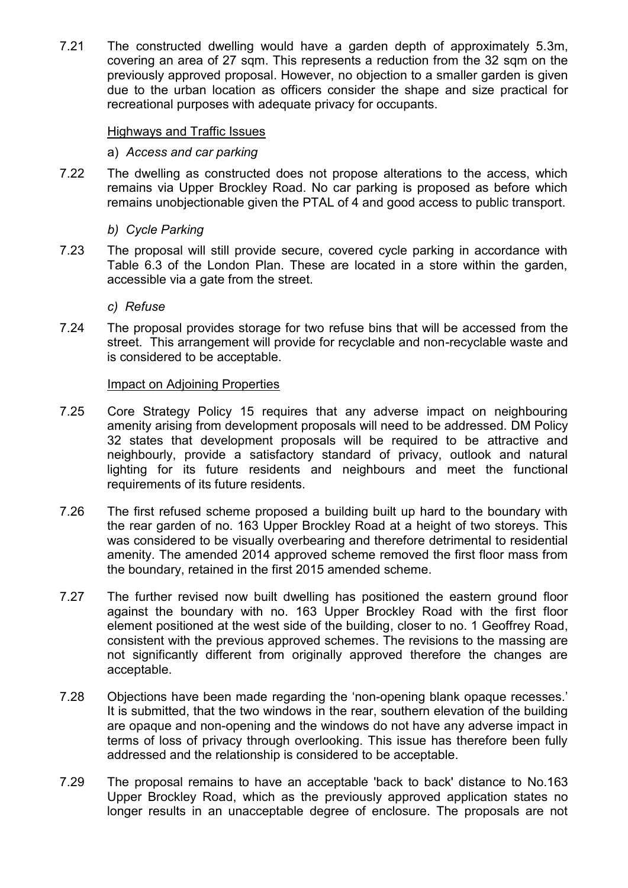7.21 The constructed dwelling would have a garden depth of approximately 5.3m, covering an area of 27 sqm. This represents a reduction from the 32 sqm on the previously approved proposal. However, no objection to a smaller garden is given due to the urban location as officers consider the shape and size practical for recreational purposes with adequate privacy for occupants.

### Highways and Traffic Issues

### a) *Access and car parking*

7.22 The dwelling as constructed does not propose alterations to the access, which remains via Upper Brockley Road. No car parking is proposed as before which remains unobjectionable given the PTAL of 4 and good access to public transport.

### *b) Cycle Parking*

7.23 The proposal will still provide secure, covered cycle parking in accordance with Table 6.3 of the London Plan. These are located in a store within the garden, accessible via a gate from the street.

### *c) Refuse*

7.24 The proposal provides storage for two refuse bins that will be accessed from the street. This arrangement will provide for recyclable and non-recyclable waste and is considered to be acceptable.

### Impact on Adjoining Properties

- 7.25 Core Strategy Policy 15 requires that any adverse impact on neighbouring amenity arising from development proposals will need to be addressed. DM Policy 32 states that development proposals will be required to be attractive and neighbourly, provide a satisfactory standard of privacy, outlook and natural lighting for its future residents and neighbours and meet the functional requirements of its future residents.
- 7.26 The first refused scheme proposed a building built up hard to the boundary with the rear garden of no. 163 Upper Brockley Road at a height of two storeys. This was considered to be visually overbearing and therefore detrimental to residential amenity. The amended 2014 approved scheme removed the first floor mass from the boundary, retained in the first 2015 amended scheme.
- 7.27 The further revised now built dwelling has positioned the eastern ground floor against the boundary with no. 163 Upper Brockley Road with the first floor element positioned at the west side of the building, closer to no. 1 Geoffrey Road, consistent with the previous approved schemes. The revisions to the massing are not significantly different from originally approved therefore the changes are acceptable.
- 7.28 Objections have been made regarding the 'non-opening blank opaque recesses.' It is submitted, that the two windows in the rear, southern elevation of the building are opaque and non-opening and the windows do not have any adverse impact in terms of loss of privacy through overlooking. This issue has therefore been fully addressed and the relationship is considered to be acceptable.
- 7.29 The proposal remains to have an acceptable 'back to back' distance to No.163 Upper Brockley Road, which as the previously approved application states no longer results in an unacceptable degree of enclosure. The proposals are not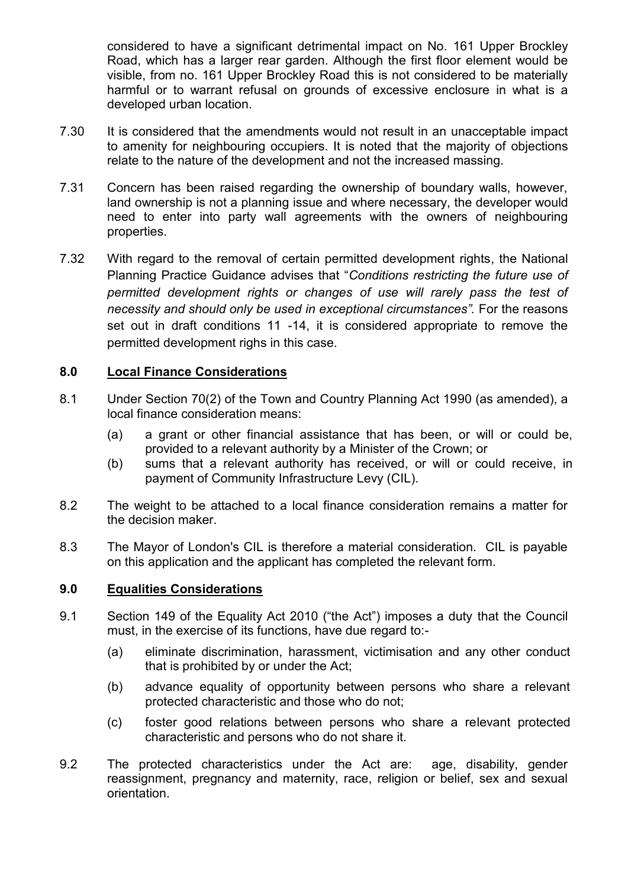considered to have a significant detrimental impact on No. 161 Upper Brockley Road, which has a larger rear garden. Although the first floor element would be visible, from no. 161 Upper Brockley Road this is not considered to be materially harmful or to warrant refusal on grounds of excessive enclosure in what is a developed urban location.

- 7.30 It is considered that the amendments would not result in an unacceptable impact to amenity for neighbouring occupiers. It is noted that the majority of objections relate to the nature of the development and not the increased massing.
- 7.31 Concern has been raised regarding the ownership of boundary walls, however, land ownership is not a planning issue and where necessary, the developer would need to enter into party wall agreements with the owners of neighbouring properties.
- 7.32 With regard to the removal of certain permitted development rights, the National Planning Practice Guidance advises that "*Conditions restricting the future use of permitted development rights or changes of use will rarely pass the test of necessity and should only be used in exceptional circumstances".* For the reasons set out in draft conditions 11 -14, it is considered appropriate to remove the permitted development righs in this case.

## **8.0 Local Finance Considerations**

- 8.1 Under Section 70(2) of the Town and Country Planning Act 1990 (as amended), a local finance consideration means:
	- (a) a grant or other financial assistance that has been, or will or could be, provided to a relevant authority by a Minister of the Crown; or
	- (b) sums that a relevant authority has received, or will or could receive, in payment of Community Infrastructure Levy (CIL).
- 8.2 The weight to be attached to a local finance consideration remains a matter for the decision maker.
- 8.3 The Mayor of London's CIL is therefore a material consideration. CIL is payable on this application and the applicant has completed the relevant form.

## **9.0 Equalities Considerations**

- 9.1 Section 149 of the Equality Act 2010 ("the Act") imposes a duty that the Council must, in the exercise of its functions, have due regard to:-
	- (a) eliminate discrimination, harassment, victimisation and any other conduct that is prohibited by or under the Act;
	- (b) advance equality of opportunity between persons who share a relevant protected characteristic and those who do not;
	- (c) foster good relations between persons who share a relevant protected characteristic and persons who do not share it.
- 9.2 The protected characteristics under the Act are: age, disability, gender reassignment, pregnancy and maternity, race, religion or belief, sex and sexual orientation.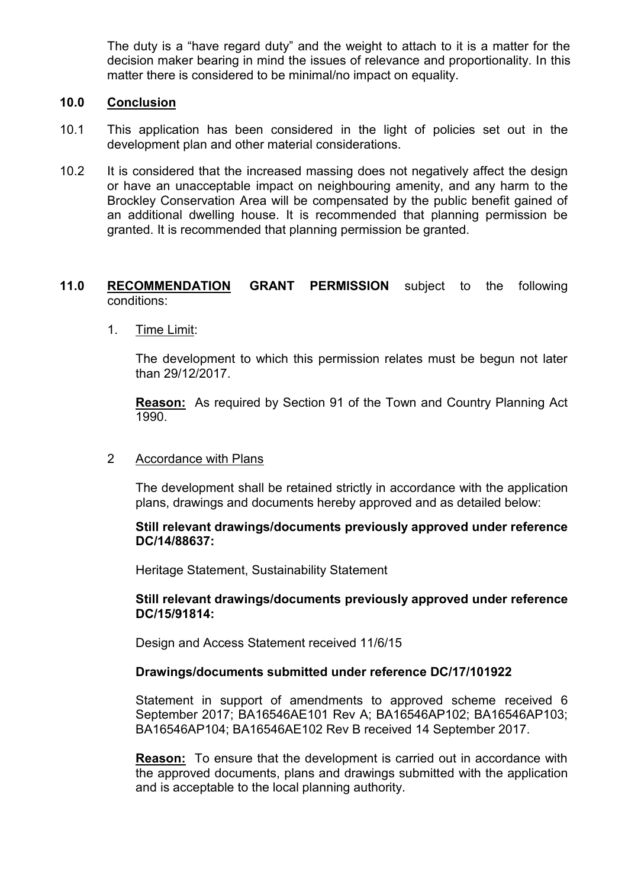The duty is a "have regard duty" and the weight to attach to it is a matter for the decision maker bearing in mind the issues of relevance and proportionality. In this matter there is considered to be minimal/no impact on equality.

### **10.0 Conclusion**

- 10.1 This application has been considered in the light of policies set out in the development plan and other material considerations.
- 10.2 It is considered that the increased massing does not negatively affect the design or have an unacceptable impact on neighbouring amenity, and any harm to the Brockley Conservation Area will be compensated by the public benefit gained of an additional dwelling house. It is recommended that planning permission be granted. It is recommended that planning permission be granted.

## **11.0 RECOMMENDATION GRANT PERMISSION** subject to the following conditions:

### 1. Time Limit:

The development to which this permission relates must be begun not later than 29/12/2017.

**Reason:** As required by Section 91 of the Town and Country Planning Act 1990.

#### 2 Accordance with Plans

The development shall be retained strictly in accordance with the application plans, drawings and documents hereby approved and as detailed below:

### **Still relevant drawings/documents previously approved under reference DC/14/88637:**

Heritage Statement, Sustainability Statement

### **Still relevant drawings/documents previously approved under reference DC/15/91814:**

Design and Access Statement received 11/6/15

## **Drawings/documents submitted under reference DC/17/101922**

Statement in support of amendments to approved scheme received 6 September 2017; BA16546AE101 Rev A; BA16546AP102; BA16546AP103; BA16546AP104; BA16546AE102 Rev B received 14 September 2017.

**Reason:** To ensure that the development is carried out in accordance with the approved documents, plans and drawings submitted with the application and is acceptable to the local planning authority.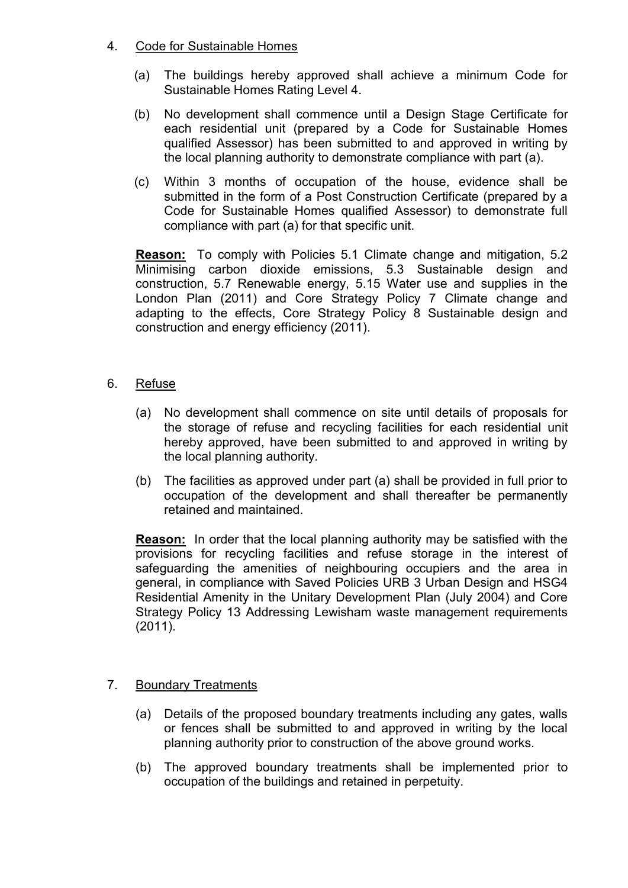# 4. Code for Sustainable Homes

- (a) The buildings hereby approved shall achieve a minimum Code for Sustainable Homes Rating Level 4.
- (b) No development shall commence until a Design Stage Certificate for each residential unit (prepared by a Code for Sustainable Homes qualified Assessor) has been submitted to and approved in writing by the local planning authority to demonstrate compliance with part (a).
- (c) Within 3 months of occupation of the house, evidence shall be submitted in the form of a Post Construction Certificate (prepared by a Code for Sustainable Homes qualified Assessor) to demonstrate full compliance with part (a) for that specific unit.

**Reason:** To comply with Policies 5.1 Climate change and mitigation, 5.2 Minimising carbon dioxide emissions, 5.3 Sustainable design and construction, 5.7 Renewable energy, 5.15 Water use and supplies in the London Plan (2011) and Core Strategy Policy 7 Climate change and adapting to the effects, Core Strategy Policy 8 Sustainable design and construction and energy efficiency (2011).

- 6. Refuse
	- (a) No development shall commence on site until details of proposals for the storage of refuse and recycling facilities for each residential unit hereby approved, have been submitted to and approved in writing by the local planning authority.
	- (b) The facilities as approved under part (a) shall be provided in full prior to occupation of the development and shall thereafter be permanently retained and maintained.

**Reason:** In order that the local planning authority may be satisfied with the provisions for recycling facilities and refuse storage in the interest of safeguarding the amenities of neighbouring occupiers and the area in general, in compliance with Saved Policies URB 3 Urban Design and HSG4 Residential Amenity in the Unitary Development Plan (July 2004) and Core Strategy Policy 13 Addressing Lewisham waste management requirements (2011).

## 7. Boundary Treatments

- (a) Details of the proposed boundary treatments including any gates, walls or fences shall be submitted to and approved in writing by the local planning authority prior to construction of the above ground works.
- (b) The approved boundary treatments shall be implemented prior to occupation of the buildings and retained in perpetuity.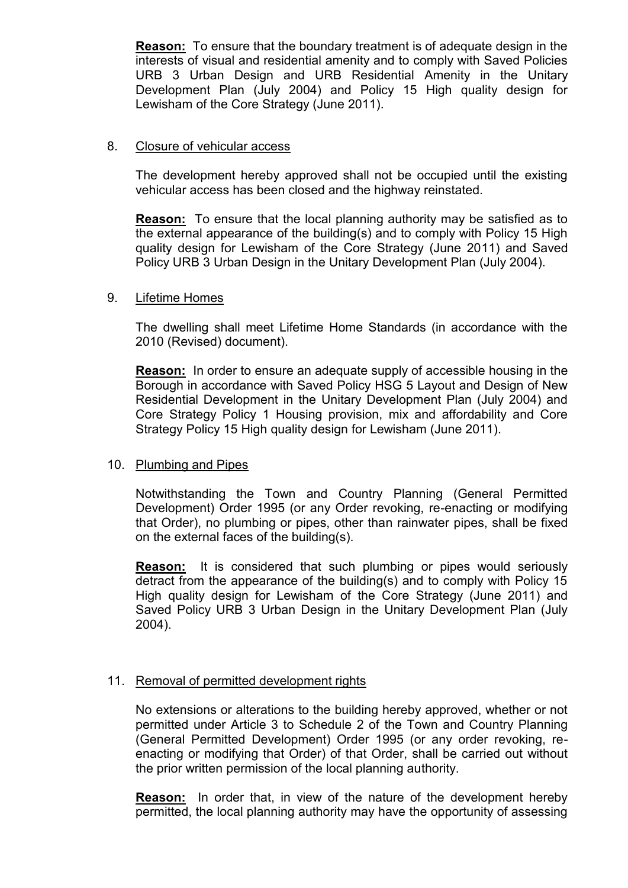**Reason:** To ensure that the boundary treatment is of adequate design in the interests of visual and residential amenity and to comply with Saved Policies URB 3 Urban Design and URB Residential Amenity in the Unitary Development Plan (July 2004) and Policy 15 High quality design for Lewisham of the Core Strategy (June 2011).

### 8. Closure of vehicular access

The development hereby approved shall not be occupied until the existing vehicular access has been closed and the highway reinstated.

**Reason:** To ensure that the local planning authority may be satisfied as to the external appearance of the building(s) and to comply with Policy 15 High quality design for Lewisham of the Core Strategy (June 2011) and Saved Policy URB 3 Urban Design in the Unitary Development Plan (July 2004).

### 9. Lifetime Homes

The dwelling shall meet Lifetime Home Standards (in accordance with the 2010 (Revised) document).

**Reason:** In order to ensure an adequate supply of accessible housing in the Borough in accordance with Saved Policy HSG 5 Layout and Design of New Residential Development in the Unitary Development Plan (July 2004) and Core Strategy Policy 1 Housing provision, mix and affordability and Core Strategy Policy 15 High quality design for Lewisham (June 2011).

#### 10. Plumbing and Pipes

Notwithstanding the Town and Country Planning (General Permitted Development) Order 1995 (or any Order revoking, re-enacting or modifying that Order), no plumbing or pipes, other than rainwater pipes, shall be fixed on the external faces of the building(s).

**Reason:** It is considered that such plumbing or pipes would seriously detract from the appearance of the building(s) and to comply with Policy 15 High quality design for Lewisham of the Core Strategy (June 2011) and Saved Policy URB 3 Urban Design in the Unitary Development Plan (July 2004).

## 11. Removal of permitted development rights

No extensions or alterations to the building hereby approved, whether or not permitted under Article 3 to Schedule 2 of the Town and Country Planning (General Permitted Development) Order 1995 (or any order revoking, reenacting or modifying that Order) of that Order, shall be carried out without the prior written permission of the local planning authority.

**Reason:** In order that, in view of the nature of the development hereby permitted, the local planning authority may have the opportunity of assessing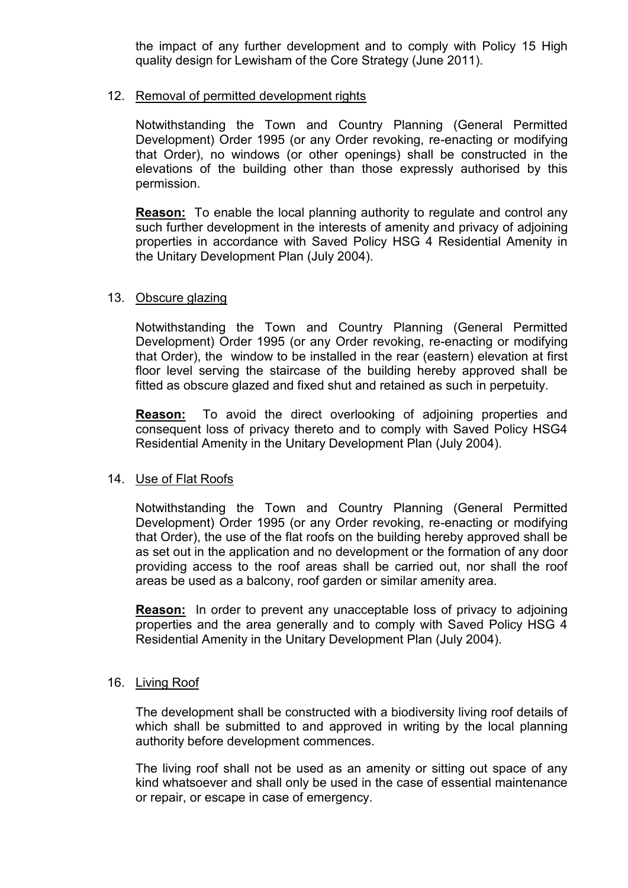the impact of any further development and to comply with Policy 15 High quality design for Lewisham of the Core Strategy (June 2011).

## 12. Removal of permitted development rights

Notwithstanding the Town and Country Planning (General Permitted Development) Order 1995 (or any Order revoking, re-enacting or modifying that Order), no windows (or other openings) shall be constructed in the elevations of the building other than those expressly authorised by this permission.

**Reason:** To enable the local planning authority to regulate and control any such further development in the interests of amenity and privacy of adjoining properties in accordance with Saved Policy HSG 4 Residential Amenity in the Unitary Development Plan (July 2004).

## 13. Obscure glazing

Notwithstanding the Town and Country Planning (General Permitted Development) Order 1995 (or any Order revoking, re-enacting or modifying that Order), the window to be installed in the rear (eastern) elevation at first floor level serving the staircase of the building hereby approved shall be fitted as obscure glazed and fixed shut and retained as such in perpetuity.

**Reason:** To avoid the direct overlooking of adjoining properties and consequent loss of privacy thereto and to comply with Saved Policy HSG4 Residential Amenity in the Unitary Development Plan (July 2004).

## 14. Use of Flat Roofs

Notwithstanding the Town and Country Planning (General Permitted Development) Order 1995 (or any Order revoking, re-enacting or modifying that Order), the use of the flat roofs on the building hereby approved shall be as set out in the application and no development or the formation of any door providing access to the roof areas shall be carried out, nor shall the roof areas be used as a balcony, roof garden or similar amenity area.

**Reason:** In order to prevent any unacceptable loss of privacy to adjoining properties and the area generally and to comply with Saved Policy HSG 4 Residential Amenity in the Unitary Development Plan (July 2004).

#### 16. Living Roof

The development shall be constructed with a biodiversity living roof details of which shall be submitted to and approved in writing by the local planning authority before development commences.

The living roof shall not be used as an amenity or sitting out space of any kind whatsoever and shall only be used in the case of essential maintenance or repair, or escape in case of emergency.